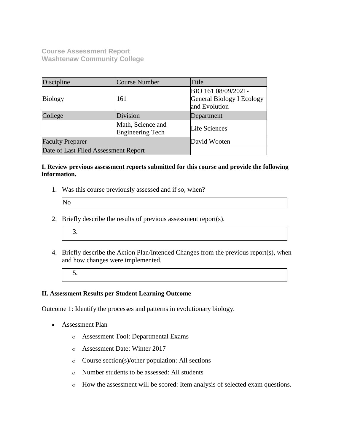**Course Assessment Report Washtenaw Community College**

| Discipline                                   | Course Number | Title                                                             |  |
|----------------------------------------------|---------------|-------------------------------------------------------------------|--|
| <b>Biology</b>                               | 161           | BIO 161 08/09/2021-<br>General Biology I Ecology<br>and Evolution |  |
| College                                      | Division      | Department                                                        |  |
| Math, Science and<br><b>Engineering Tech</b> |               | Life Sciences                                                     |  |
| <b>Faculty Preparer</b>                      |               | David Wooten                                                      |  |
| Date of Last Filed Assessment Report         |               |                                                                   |  |

### **I. Review previous assessment reports submitted for this course and provide the following information.**

1. Was this course previously assessed and if so, when?

| $\overline{\text{No}}$ |  |  |
|------------------------|--|--|
|                        |  |  |

- 2. Briefly describe the results of previous assessment report(s).
	- 3.
- 4. Briefly describe the Action Plan/Intended Changes from the previous report(s), when and how changes were implemented.
	- 5.

#### **II. Assessment Results per Student Learning Outcome**

Outcome 1: Identify the processes and patterns in evolutionary biology.

- Assessment Plan
	- o Assessment Tool: Departmental Exams
	- o Assessment Date: Winter 2017
	- o Course section(s)/other population: All sections
	- o Number students to be assessed: All students
	- o How the assessment will be scored: Item analysis of selected exam questions.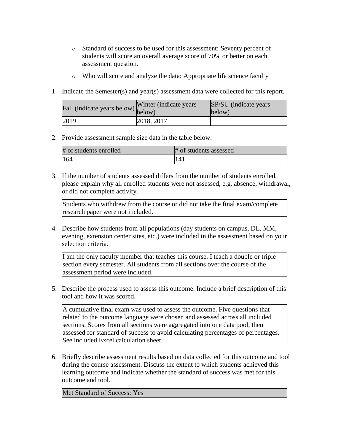- o Standard of success to be used for this assessment: Seventy percent of students will score an overall average score of 70% or better on each assessment question.
- o Who will score and analyze the data: Appropriate life science faculty
- 1. Indicate the Semester(s) and year(s) assessment data were collected for this report.

| Fall (indicate years below) below) | Winter (indicate years) | SP/SU (indicate years)<br>below) |
|------------------------------------|-------------------------|----------------------------------|
| 2019                               | 2018, 2017              |                                  |

### 2. Provide assessment sample size data in the table below.

| # of students enrolled | # of students assessed |
|------------------------|------------------------|
| 164                    | 14                     |

3. If the number of students assessed differs from the number of students enrolled, please explain why all enrolled students were not assessed, e.g. absence, withdrawal, or did not complete activity.

Students who withdrew from the course or did not take the final exam/complete research paper were not included.

4. Describe how students from all populations (day students on campus, DL, MM, evening, extension center sites, etc.) were included in the assessment based on your selection criteria.

I am the only faculty member that teaches this course. I teach a double or triple section every semester. All students from all sections over the course of the assessment period were included.

5. Describe the process used to assess this outcome. Include a brief description of this tool and how it was scored.

A cumulative final exam was used to assess the outcome. Five questions that related to the outcome language were chosen and assessed across all included sections. Scores from all sections were aggregated into one data pool, then assessed for standard of success to avoid calculating percentages of percentages. See included Excel calculation sheet.

6. Briefly describe assessment results based on data collected for this outcome and tool during the course assessment. Discuss the extent to which students achieved this learning outcome and indicate whether the standard of success was met for this outcome and tool.

Met Standard of Success: Yes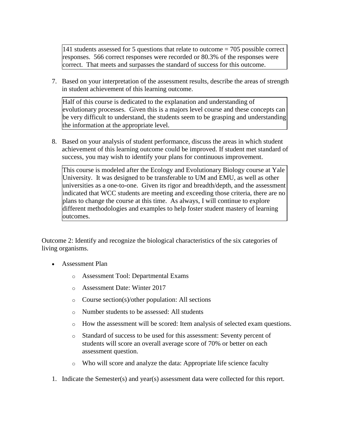141 students assessed for 5 questions that relate to outcome = 705 possible correct responses. 566 correct responses were recorded or 80.3% of the responses were correct. That meets and surpasses the standard of success for this outcome.

7. Based on your interpretation of the assessment results, describe the areas of strength in student achievement of this learning outcome.

Half of this course is dedicated to the explanation and understanding of evolutionary processes. Given this is a majors level course and these concepts can be very difficult to understand, the students seem to be grasping and understanding the information at the appropriate level.

8. Based on your analysis of student performance, discuss the areas in which student achievement of this learning outcome could be improved. If student met standard of success, you may wish to identify your plans for continuous improvement.

This course is modeled after the Ecology and Evolutionary Biology course at Yale University. It was designed to be transferable to UM and EMU, as well as other universities as a one-to-one. Given its rigor and breadth/depth, and the assessment indicated that WCC students are meeting and exceeding those criteria, there are no plans to change the course at this time. As always, I will continue to explore different methodologies and examples to help foster student mastery of learning outcomes.

Outcome 2: Identify and recognize the biological characteristics of the six categories of living organisms.

- Assessment Plan
	- o Assessment Tool: Departmental Exams
	- o Assessment Date: Winter 2017
	- o Course section(s)/other population: All sections
	- o Number students to be assessed: All students
	- o How the assessment will be scored: Item analysis of selected exam questions.
	- o Standard of success to be used for this assessment: Seventy percent of students will score an overall average score of 70% or better on each assessment question.
	- o Who will score and analyze the data: Appropriate life science faculty
- 1. Indicate the Semester(s) and year(s) assessment data were collected for this report.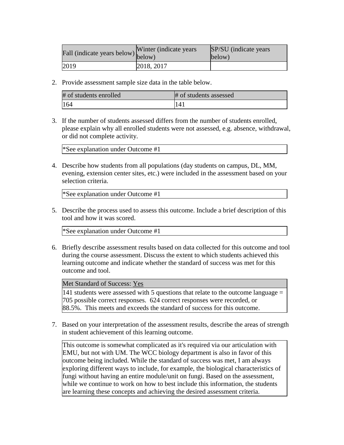| Fall (indicate years below) below) | Winter (indicate years) | SP/SU (indicate years)<br>below) |
|------------------------------------|-------------------------|----------------------------------|
| 2019                               | [2018, 2017]            |                                  |

2. Provide assessment sample size data in the table below.

| # of students enrolled | # of students assessed |
|------------------------|------------------------|
| 164                    | '141                   |

3. If the number of students assessed differs from the number of students enrolled, please explain why all enrolled students were not assessed, e.g. absence, withdrawal, or did not complete activity.

\*See explanation under Outcome #1

4. Describe how students from all populations (day students on campus, DL, MM, evening, extension center sites, etc.) were included in the assessment based on your selection criteria.

\*See explanation under Outcome #1

5. Describe the process used to assess this outcome. Include a brief description of this tool and how it was scored.

\*See explanation under Outcome #1

6. Briefly describe assessment results based on data collected for this outcome and tool during the course assessment. Discuss the extent to which students achieved this learning outcome and indicate whether the standard of success was met for this outcome and tool.

Met Standard of Success: Yes

141 students were assessed with 5 questions that relate to the outcome language = 705 possible correct responses. 624 correct responses were recorded, or 88.5%. This meets and exceeds the standard of success for this outcome.

7. Based on your interpretation of the assessment results, describe the areas of strength in student achievement of this learning outcome.

This outcome is somewhat complicated as it's required via our articulation with EMU, but not with UM. The WCC biology department is also in favor of this outcome being included. While the standard of success was met, I am always exploring different ways to include, for example, the biological characteristics of fungi without having an entire module/unit on fungi. Based on the assessment, while we continue to work on how to best include this information, the students are learning these concepts and achieving the desired assessment criteria.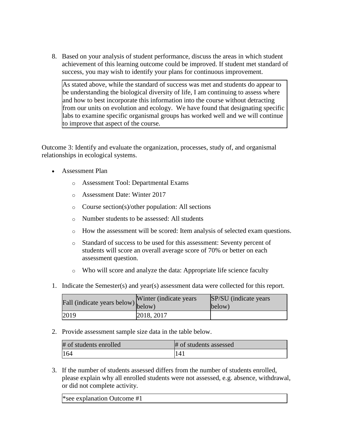8. Based on your analysis of student performance, discuss the areas in which student achievement of this learning outcome could be improved. If student met standard of success, you may wish to identify your plans for continuous improvement.

As stated above, while the standard of success was met and students do appear to be understanding the biological diversity of life, I am continuing to assess where and how to best incorporate this information into the course without detracting from our units on evolution and ecology. We have found that designating specific labs to examine specific organismal groups has worked well and we will continue to improve that aspect of the course.

Outcome 3: Identify and evaluate the organization, processes, study of, and organismal relationships in ecological systems.

- Assessment Plan
	- o Assessment Tool: Departmental Exams
	- o Assessment Date: Winter 2017
	- o Course section(s)/other population: All sections
	- o Number students to be assessed: All students
	- o How the assessment will be scored: Item analysis of selected exam questions.
	- o Standard of success to be used for this assessment: Seventy percent of students will score an overall average score of 70% or better on each assessment question.
	- o Who will score and analyze the data: Appropriate life science faculty
- 1. Indicate the Semester(s) and year(s) assessment data were collected for this report.

| Fall (indicate years below) $\begin{bmatrix}$ <sup>w inter</sup> | Winter (indicate years) | SP/SU (indicate years)<br>below) |
|------------------------------------------------------------------|-------------------------|----------------------------------|
| 2019                                                             | 2018, 2017              |                                  |

2. Provide assessment sample size data in the table below.

| # of students enrolled | # of students assessed |
|------------------------|------------------------|
| 164                    | 141                    |

3. If the number of students assessed differs from the number of students enrolled, please explain why all enrolled students were not assessed, e.g. absence, withdrawal, or did not complete activity.

| <sup>*</sup> see explanation Outcome $#1$ |
|-------------------------------------------|
|-------------------------------------------|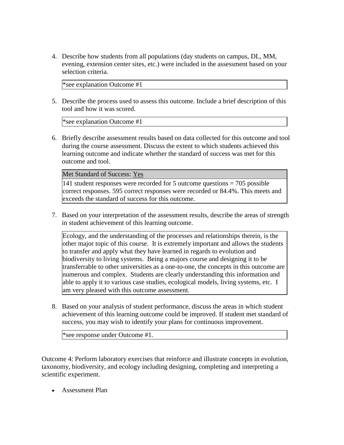4. Describe how students from all populations (day students on campus, DL, MM, evening, extension center sites, etc.) were included in the assessment based on your selection criteria.

\*see explanation Outcome #1

5. Describe the process used to assess this outcome. Include a brief description of this tool and how it was scored.

\*see explanation Outcome #1

6. Briefly describe assessment results based on data collected for this outcome and tool during the course assessment. Discuss the extent to which students achieved this learning outcome and indicate whether the standard of success was met for this outcome and tool.

Met Standard of Success: Yes

141 student responses were recorded for 5 outcome questions = 705 possible correct responses. 595 correct responses were recorded or 84.4%. This meets and exceeds the standard of success for this outcome.

7. Based on your interpretation of the assessment results, describe the areas of strength in student achievement of this learning outcome.

Ecology, and the understanding of the processes and relationships therein, is the other major topic of this course. It is extremely important and allows the students to transfer and apply what they have learned in regards to evolution and biodiversity to living systems. Being a majors course and designing it to be transferrable to other universities as a one-to-one, the concepts in this outcome are numerous and complex. Students are clearly understanding this information and able to apply it to various case studies, ecological models, living systems, etc. I am very pleased with this outcome assessment.

8. Based on your analysis of student performance, discuss the areas in which student achievement of this learning outcome could be improved. If student met standard of success, you may wish to identify your plans for continuous improvement.

\*see response under Outcome #1.

Outcome 4: Perform laboratory exercises that reinforce and illustrate concepts in evolution, taxonomy, biodiversity, and ecology including designing, completing and interpreting a scientific experiment.

Assessment Plan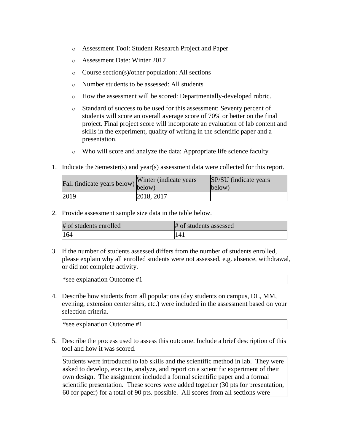- o Assessment Tool: Student Research Project and Paper
- o Assessment Date: Winter 2017
- o Course section(s)/other population: All sections
- o Number students to be assessed: All students
- o How the assessment will be scored: Departmentally-developed rubric.
- o Standard of success to be used for this assessment: Seventy percent of students will score an overall average score of 70% or better on the final project. Final project score will incorporate an evaluation of lab content and skills in the experiment, quality of writing in the scientific paper and a presentation.
- o Who will score and analyze the data: Appropriate life science faculty
- 1. Indicate the Semester(s) and year(s) assessment data were collected for this report.

| Fall (indicate years below) below) | Winter (indicate years) | SP/SU (indicate years)<br>below) |
|------------------------------------|-------------------------|----------------------------------|
| 2019                               | 2018, 2017              |                                  |

2. Provide assessment sample size data in the table below.

| # of students enrolled | # of students assessed |
|------------------------|------------------------|
| 164                    | 141                    |

3. If the number of students assessed differs from the number of students enrolled, please explain why all enrolled students were not assessed, e.g. absence, withdrawal, or did not complete activity.

\*see explanation Outcome #1

4. Describe how students from all populations (day students on campus, DL, MM, evening, extension center sites, etc.) were included in the assessment based on your selection criteria.

\*see explanation Outcome #1

5. Describe the process used to assess this outcome. Include a brief description of this tool and how it was scored.

Students were introduced to lab skills and the scientific method in lab. They were asked to develop, execute, analyze, and report on a scientific experiment of their own design. The assignment included a formal scientific paper and a formal scientific presentation. These scores were added together (30 pts for presentation, 60 for paper) for a total of 90 pts. possible. All scores from all sections were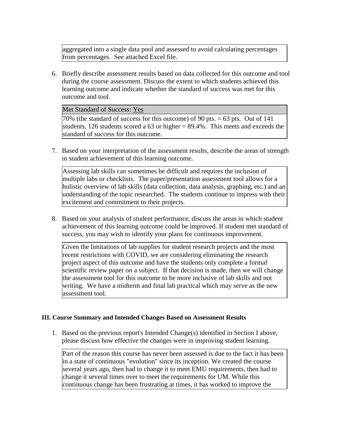aggregated into a single data pool and assessed to avoid calculating percentages from percentages. See attached Excel file.

6. Briefly describe assessment results based on data collected for this outcome and tool during the course assessment. Discuss the extent to which students achieved this learning outcome and indicate whether the standard of success was met for this outcome and tool.

Met Standard of Success: Yes

 $70\%$  (the standard of success for this outcome) of 90 pts. = 63 pts. Out of 141 students, 126 students scored a 63 or higher  $= 89.4\%$ . This meets and exceeds the standard of success for this outcome.

7. Based on your interpretation of the assessment results, describe the areas of strength in student achievement of this learning outcome.

Assessing lab skills can sometimes be difficult and requires the inclusion of multiple labs or checklists. The paper/presentation assessment tool allows for a holistic overview of lab skills (data collection, data analysis, graphing, etc.) and an understanding of the topic researched. The students continue to impress with their excitement and commitment to their projects.

8. Based on your analysis of student performance, discuss the areas in which student achievement of this learning outcome could be improved. If student met standard of success, you may wish to identify your plans for continuous improvement.

Given the limitations of lab supplies for student research projects and the most recent restrictions with COVID, we are considering eliminating the research project aspect of this outcome and have the students only complete a formal scientific review paper on a subject. If that decision is made, then we will change the assessment tool for this outcome to be more inclusive of lab skills and not writing. We have a midterm and final lab practical which may serve as the new assessment tool.

### **III. Course Summary and Intended Changes Based on Assessment Results**

1. Based on the previous report's Intended Change(s) identified in Section I above, please discuss how effective the changes were in improving student learning.

Part of the reason this course has never been assessed is due to the fact it has been in a state of continuous "evolution" since its inception. We created the course several years ago, then had to change it to meet EMU requirements, then had to change it several times over to meet the requirements for UM. While this continuous change has been frustrating at times, it has worked to improve the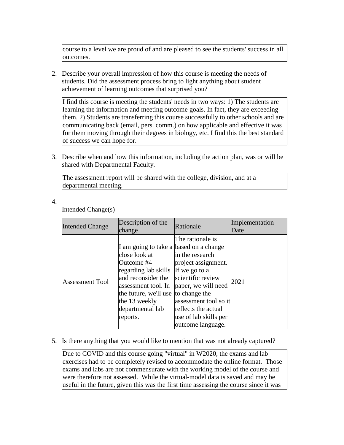course to a level we are proud of and are pleased to see the students' success in all outcomes.

2. Describe your overall impression of how this course is meeting the needs of students. Did the assessment process bring to light anything about student achievement of learning outcomes that surprised you?

I find this course is meeting the students' needs in two ways: 1) The students are learning the information and meeting outcome goals. In fact, they are exceeding them. 2) Students are transferring this course successfully to other schools and are communicating back (email, pers. comm.) on how applicable and effective it was for them moving through their degrees in biology, etc. I find this the best standard of success we can hope for.

3. Describe when and how this information, including the action plan, was or will be shared with Departmental Faculty.

The assessment report will be shared with the college, division, and at a departmental meeting.

4.

Intended Change(s)

| <b>Intended Change</b> | Description of the<br>change                                                                                                                                                                                                                     | Rationale                                                                                                                                                                                            | Implementation<br>Date |
|------------------------|--------------------------------------------------------------------------------------------------------------------------------------------------------------------------------------------------------------------------------------------------|------------------------------------------------------------------------------------------------------------------------------------------------------------------------------------------------------|------------------------|
| <b>Assessment Tool</b> | I am going to take a based on a change<br>close look at<br>Outcome #4<br>regarding lab skills If we go to a<br>and reconsider the<br>assessment tool. In<br>the future, we'll use to change the<br>the 13 weekly<br>departmental lab<br>reports. | The rationale is<br>in the research<br>project assignment.<br>scientific review<br>paper, we will need<br>assessment tool so it<br>reflects the actual<br>use of lab skills per<br>outcome language. | 2021                   |

### 5. Is there anything that you would like to mention that was not already captured?

Due to COVID and this course going "virtual" in W2020, the exams and lab exercises had to be completely revised to accommodate the online format. Those exams and labs are not commensurate with the working model of the course and were therefore not assessed. While the virtual-model data is saved and may be useful in the future, given this was the first time assessing the course since it was